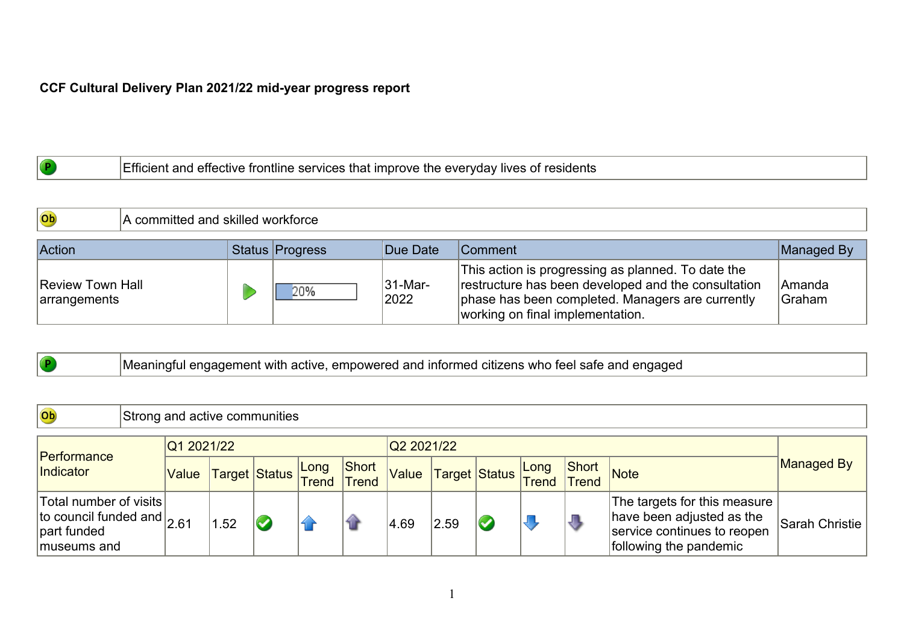## **CCF Cultural Delivery Plan 2021/22 mid-year progress report**

 $\overline{\phantom{a}}$ 

|  | . everyday<br>' lives<br>services<br>. Improve<br>. ור<br>effective<br>∶ano<br>tne<br>OT<br>: frontline<br>ΊЩ<br>siut<br>. |
|--|----------------------------------------------------------------------------------------------------------------------------|
|--|----------------------------------------------------------------------------------------------------------------------------|

| Ob                                      | A committed and skilled workforce |  |                 |                 |                                                                                                                                                                                                   |                          |  |  |  |  |
|-----------------------------------------|-----------------------------------|--|-----------------|-----------------|---------------------------------------------------------------------------------------------------------------------------------------------------------------------------------------------------|--------------------------|--|--|--|--|
| <b>Action</b>                           |                                   |  | Status Progress | Due Date        | <b>Comment</b>                                                                                                                                                                                    | Managed By               |  |  |  |  |
| <b>Review Town Hall</b><br>arrangements |                                   |  | 20%             | 31-Mar-<br>2022 | This action is progressing as planned. To date the<br>restructure has been developed and the consultation<br>phase has been completed. Managers are currently<br>working on final implementation. | <b>IAmanda</b><br>Graham |  |  |  |  |

|  | Meaningful engagement with active, empowered and informed citizens who feel safe and engaged |  |
|--|----------------------------------------------------------------------------------------------|--|
|  |                                                                                              |  |

| <b>Ob</b>                                                                            | Strong and active communities |            |     |                          |  |                       |            |                    |                         |  |                       |                                                                                                                    |                |
|--------------------------------------------------------------------------------------|-------------------------------|------------|-----|--------------------------|--|-----------------------|------------|--------------------|-------------------------|--|-----------------------|--------------------------------------------------------------------------------------------------------------------|----------------|
|                                                                                      |                               | Q1 2021/22 |     |                          |  |                       | Q2 2021/22 |                    |                         |  |                       |                                                                                                                    |                |
| Performance<br>Indicator                                                             |                               |            |     | Value Target Status Long |  | Short<br><b>Trend</b> | Value      | Target Status Long |                         |  | Short<br><b>Trend</b> | Note                                                                                                               | Managed By     |
| Total number of visits<br>to council funded and $2.61$<br>part funded<br>museums and |                               |            | .52 | $\blacktriangledown$     |  |                       | 4.69       | 2.59               | $\overline{\mathbf{C}}$ |  | J                     | The targets for this measure<br>have been adjusted as the<br>service continues to reopen<br>following the pandemic | Sarah Christie |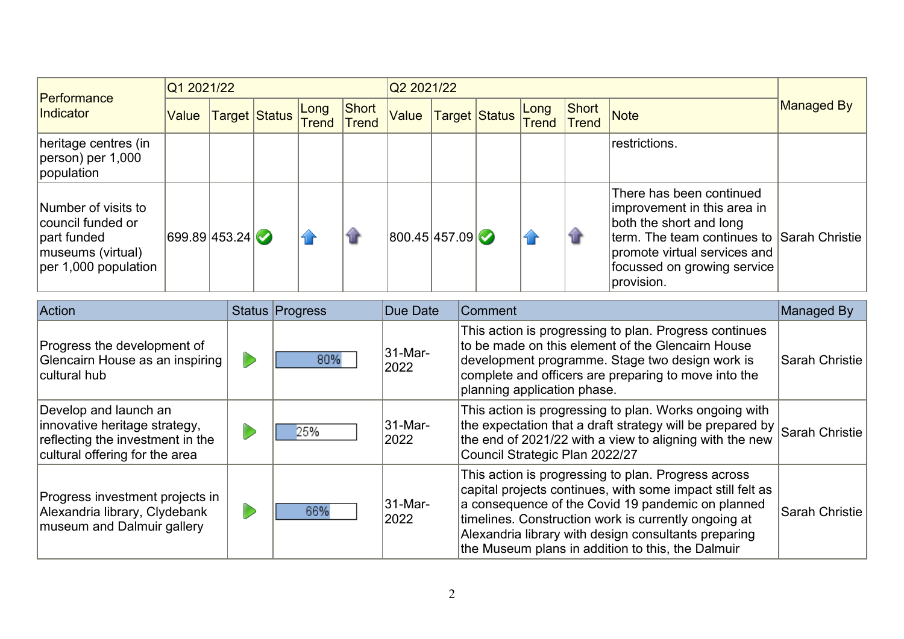| Performance                                                                                              | Q1 2021/22    |  |               |               |                |               | Q2 2021/22 |               |               |                       |                                                                                                                                                                                                               |                   |  |
|----------------------------------------------------------------------------------------------------------|---------------|--|---------------|---------------|----------------|---------------|------------|---------------|---------------|-----------------------|---------------------------------------------------------------------------------------------------------------------------------------------------------------------------------------------------------------|-------------------|--|
| Indicator                                                                                                | Value         |  | Target Status | Long<br>Trend | Short<br>Trend | Value         |            | Target Status | Long<br>Trend | Short<br><b>Trend</b> | <b>Note</b>                                                                                                                                                                                                   | <b>Managed By</b> |  |
| heritage centres (in<br>$ person)$ per 1,000<br>population                                               |               |  |               |               |                |               |            |               |               |                       | restrictions.                                                                                                                                                                                                 |                   |  |
| Number of visits to<br>council funded or<br>part funded<br> museums (virtual)<br>$ per 1,000$ population | 699.89 453.24 |  |               |               | û              | 800.45 457.09 |            |               |               | ₩                     | There has been continued<br>improvement in this area in<br>both the short and long<br>term. The team continues to Sarah Christie<br>promote virtual services and<br>focussed on growing service<br>provision. |                   |  |
| Action<br>Status Progress                                                                                |               |  |               |               |                | Due Date      |            | Comment       |               |                       |                                                                                                                                                                                                               | Managed By        |  |

| <b>IACUON</b>                                                                                                                | Status Progress | <b>Due Date</b> | <b>IComment</b>                                                                                                                                                                                                                                                                                                                             | ∣ivianaged By  |
|------------------------------------------------------------------------------------------------------------------------------|-----------------|-----------------|---------------------------------------------------------------------------------------------------------------------------------------------------------------------------------------------------------------------------------------------------------------------------------------------------------------------------------------------|----------------|
| Progress the development of<br>Glencairn House as an inspiring<br>cultural hub                                               | 80%             | 31-Mar-<br>2022 | This action is progressing to plan. Progress continues<br>to be made on this element of the Glencairn House<br>development programme. Stage two design work is<br>complete and officers are preparing to move into the<br>planning application phase.                                                                                       | Sarah Christie |
| Develop and launch an<br>innovative heritage strategy,<br>reflecting the investment in the<br>cultural offering for the area | 25%             | 31-Mar-<br>2022 | This action is progressing to plan. Works ongoing with<br>the expectation that a draft strategy will be prepared by $ $<br>the end of 2021/22 with a view to aligning with the new<br>Council Strategic Plan 2022/27                                                                                                                        | Sarah Christie |
| Progress investment projects in<br>Alexandria library, Clydebank<br>museum and Dalmuir gallery                               | 66%             | 31-Mar-<br>2022 | This action is progressing to plan. Progress across<br>capital projects continues, with some impact still felt as<br>a consequence of the Covid 19 pandemic on planned<br>timelines. Construction work is currently ongoing at<br>Alexandria library with design consultants preparing<br>the Museum plans in addition to this, the Dalmuir | Sarah Christie |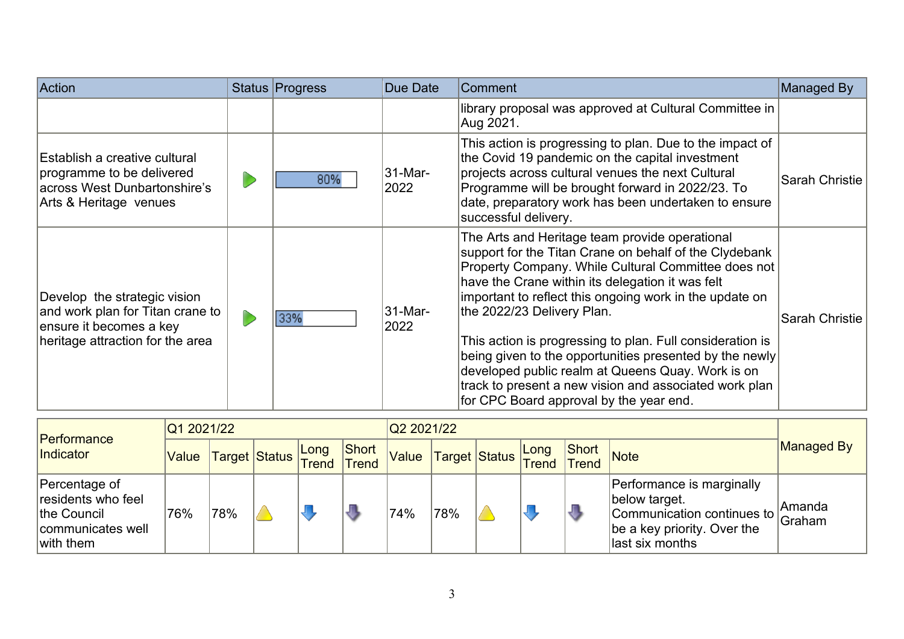| Action                                                                                                                          | Status Progress | Due Date        | Comment                                                                                                                                                                                                                                                                                                                                                                                                                                                                                                                                                                                        | Managed By     |
|---------------------------------------------------------------------------------------------------------------------------------|-----------------|-----------------|------------------------------------------------------------------------------------------------------------------------------------------------------------------------------------------------------------------------------------------------------------------------------------------------------------------------------------------------------------------------------------------------------------------------------------------------------------------------------------------------------------------------------------------------------------------------------------------------|----------------|
|                                                                                                                                 |                 |                 | library proposal was approved at Cultural Committee in<br>Aug 2021.                                                                                                                                                                                                                                                                                                                                                                                                                                                                                                                            |                |
| Establish a creative cultural<br>programme to be delivered<br>across West Dunbartonshire's<br>Arts & Heritage venues            | 80%             | 31-Mar-<br>2022 | This action is progressing to plan. Due to the impact of<br>the Covid 19 pandemic on the capital investment<br>projects across cultural venues the next Cultural<br>Programme will be brought forward in 2022/23. To<br>date, preparatory work has been undertaken to ensure<br>successful delivery.                                                                                                                                                                                                                                                                                           | Sarah Christie |
| Develop the strategic vision<br>and work plan for Titan crane to<br>ensure it becomes a key<br>heritage attraction for the area | 33%             | 31-Mar-<br>2022 | The Arts and Heritage team provide operational<br>support for the Titan Crane on behalf of the Clydebank<br>Property Company. While Cultural Committee does not<br>have the Crane within its delegation it was felt<br>important to reflect this ongoing work in the update on<br>the 2022/23 Delivery Plan.<br>This action is progressing to plan. Full consideration is<br>being given to the opportunities presented by the newly<br>developed public realm at Queens Quay. Work is on<br>track to present a new vision and associated work plan<br>for CPC Board approval by the year end. | Sarah Christie |

| Performance<br>Indicator                                                             | Q1 2021/22 |                          |  |  |              |       | Q2 2021/22 |                                        |  |    |                                                                                                                                    |                   |  |
|--------------------------------------------------------------------------------------|------------|--------------------------|--|--|--------------|-------|------------|----------------------------------------|--|----|------------------------------------------------------------------------------------------------------------------------------------|-------------------|--|
|                                                                                      | Value      | Target Status Long Short |  |  | <b>Short</b> | Value |            | Target Status Long Sho.<br>Trend Trend |  |    | Note                                                                                                                               | <b>Managed By</b> |  |
| Percentage of<br>residents who feel<br>the Council<br>communicates well<br>with them | 76%        | '78%                     |  |  | J            | 74%   | '78%       |                                        |  | K. | Performance is marginally<br>below target.<br>Communication continues to Graham<br>be a key priority. Over the<br>llast six months | Amanda            |  |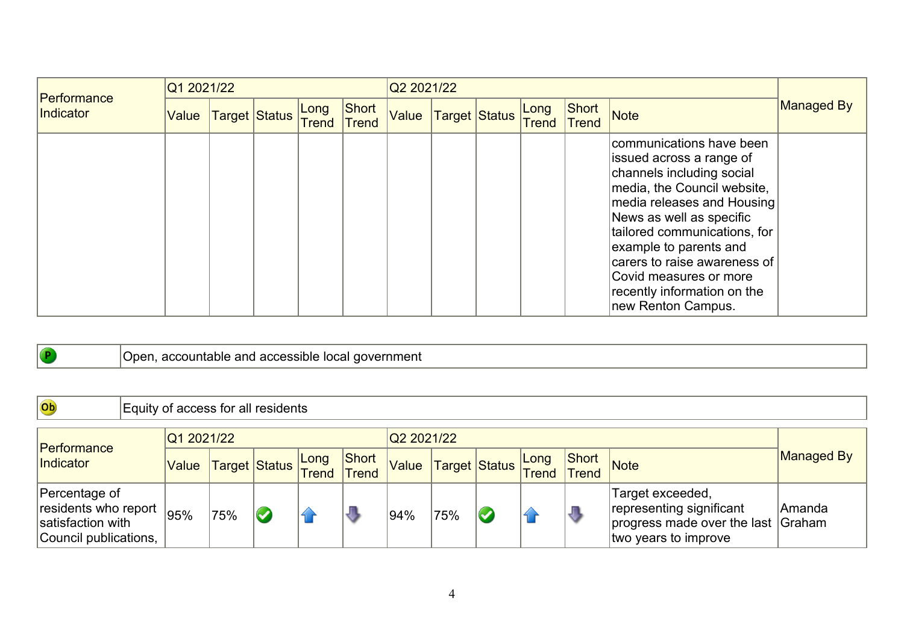| Performance | Q1 2021/22 |                      |               |                       |       | Q2 2021/22 |               |               |                |                                                                                                                                                                                                                                                                                                                                                     |                   |  |  |
|-------------|------------|----------------------|---------------|-----------------------|-------|------------|---------------|---------------|----------------|-----------------------------------------------------------------------------------------------------------------------------------------------------------------------------------------------------------------------------------------------------------------------------------------------------------------------------------------------------|-------------------|--|--|
| Indicator   | Value      | <b>Target Status</b> | Long<br>Trend | Short<br><b>Trend</b> | Value |            | Target Status | Long<br>Trend | Short<br>Trend | Note                                                                                                                                                                                                                                                                                                                                                | <b>Managed By</b> |  |  |
|             |            |                      |               |                       |       |            |               |               |                | communications have been<br>issued across a range of<br>channels including social<br>media, the Council website,<br>media releases and Housing<br>News as well as specific<br>tailored communications, for<br>example to parents and<br>carers to raise awareness of<br>Covid measures or more<br>recently information on the<br>new Renton Campus. |                   |  |  |

## Open, accountable and accessible local government

 $\bullet$ 

| Ob                                                                                  | Equity of access for all residents |                    |                      |  |                       |       |      |                         |                      |                |                                                                                                            |            |  |  |
|-------------------------------------------------------------------------------------|------------------------------------|--------------------|----------------------|--|-----------------------|-------|------|-------------------------|----------------------|----------------|------------------------------------------------------------------------------------------------------------|------------|--|--|
|                                                                                     | Q1 2021/22<br>Q2 2021/22           |                    |                      |  |                       |       |      |                         |                      |                |                                                                                                            |            |  |  |
| <b>Performance</b><br>Indicator                                                     | Value                              | Target Status Long |                      |  | Short<br><b>Trend</b> | Value |      | Target Status           | <b>Long</b><br>Trend | Short<br>Trend | Note                                                                                                       | Managed By |  |  |
| Percentage of<br>residents who report<br>satisfaction with<br>Council publications, | 95%                                | '75%               | $\blacktriangledown$ |  |                       | 194%  | '75% | $\overline{\mathbf{C}}$ |                      | ₩              | Target exceeded,<br>representing significant<br>progress made over the last Graham<br>two years to improve | lAmanda    |  |  |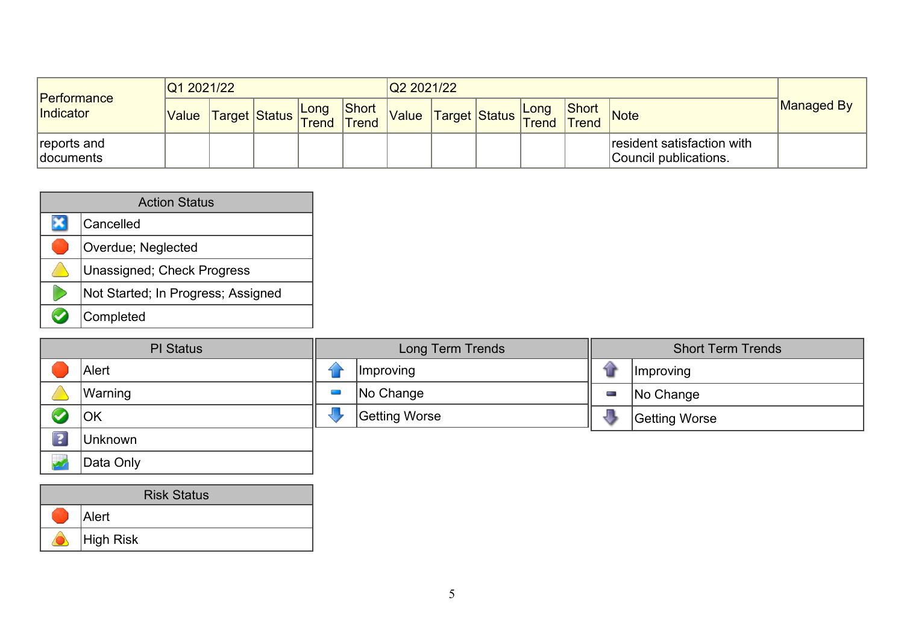| Performance<br>Indicator        | Q1 2021/22 |                                                     |      |                       | Q2 2021/22 |                                                     |      |       |                                                     |            |
|---------------------------------|------------|-----------------------------------------------------|------|-----------------------|------------|-----------------------------------------------------|------|-------|-----------------------------------------------------|------------|
|                                 | Value      | anue  Target <mark> Status   Trend   Trend  </mark> | Long | Short<br><b>Trend</b> | Value      | anue  Target <mark> Status   Trend   Trend  </mark> | Long | Short | Note                                                | Managed By |
| reports and<br><b>documents</b> |            |                                                     |      |                       |            |                                                     |      |       | resident satisfaction with<br>Council publications. |            |

| <b>Action Status</b>               |  |  |  |  |  |  |  |  |  |  |
|------------------------------------|--|--|--|--|--|--|--|--|--|--|
| Cancelled                          |  |  |  |  |  |  |  |  |  |  |
| Overdue; Neglected                 |  |  |  |  |  |  |  |  |  |  |
| <b>Unassigned; Check Progress</b>  |  |  |  |  |  |  |  |  |  |  |
| Not Started; In Progress; Assigned |  |  |  |  |  |  |  |  |  |  |
| Completed                          |  |  |  |  |  |  |  |  |  |  |

| <b>PI</b> Status        |           | Long Term Trends |                  | <b>Short Term Trends</b> |                  |
|-------------------------|-----------|------------------|------------------|--------------------------|------------------|
|                         | Alert     |                  | <i>Improving</i> |                          | <i>Improving</i> |
|                         | Warning   |                  | No Change        | The Corporation          | No Change        |
|                         | <b>OK</b> |                  | Getting Worse    |                          | Getting Worse    |
| $\overline{\mathbf{?}}$ | Unknown   |                  |                  |                          |                  |
|                         | Data Only |                  |                  |                          |                  |

| <b>Risk Status</b> |           |  |  |  |
|--------------------|-----------|--|--|--|
|                    | Alert     |  |  |  |
|                    | High Risk |  |  |  |